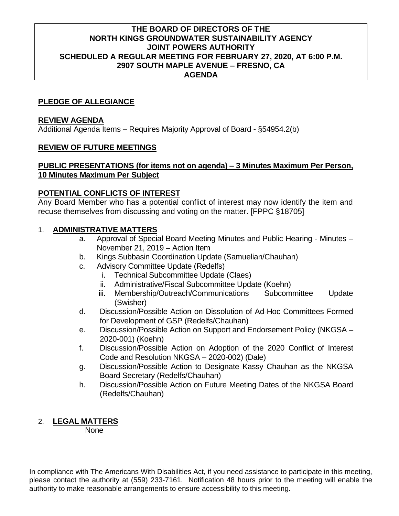## **THE BOARD OF DIRECTORS OF THE NORTH KINGS GROUNDWATER SUSTAINABILITY AGENCY JOINT POWERS AUTHORITY SCHEDULED A REGULAR MEETING FOR FEBRUARY 27, 2020, AT 6:00 P.M. 2907 SOUTH MAPLE AVENUE – FRESNO, CA AGENDA**

## **PLEDGE OF ALLEGIANCE**

#### **REVIEW AGENDA**

Additional Agenda Items – Requires Majority Approval of Board - §54954.2(b)

#### **REVIEW OF FUTURE MEETINGS**

#### **PUBLIC PRESENTATIONS (for items not on agenda) – 3 Minutes Maximum Per Person, 10 Minutes Maximum Per Subject**

#### **POTENTIAL CONFLICTS OF INTEREST**

Any Board Member who has a potential conflict of interest may now identify the item and recuse themselves from discussing and voting on the matter. [FPPC §18705]

#### 1. **ADMINISTRATIVE MATTERS**

- a. Approval of Special Board Meeting Minutes and Public Hearing Minutes November 21, 2019 – Action Item
- b. Kings Subbasin Coordination Update (Samuelian/Chauhan)
- c. Advisory Committee Update (Redelfs)
	- i. Technical Subcommittee Update (Claes)
	- ii. Administrative/Fiscal Subcommittee Update (Koehn)
	- iii. Membership/Outreach/Communications Subcommittee Update (Swisher)
- d. Discussion/Possible Action on Dissolution of Ad-Hoc Committees Formed for Development of GSP (Redelfs/Chauhan)
- e. Discussion/Possible Action on Support and Endorsement Policy (NKGSA 2020-001) (Koehn)
- f. Discussion/Possible Action on Adoption of the 2020 Conflict of Interest Code and Resolution NKGSA – 2020-002) (Dale)
- g. Discussion/Possible Action to Designate Kassy Chauhan as the NKGSA Board Secretary (Redelfs/Chauhan)
- h. Discussion/Possible Action on Future Meeting Dates of the NKGSA Board (Redelfs/Chauhan)

# 2. **LEGAL MATTERS**

None

In compliance with The Americans With Disabilities Act, if you need assistance to participate in this meeting, please contact the authority at (559) 233-7161. Notification 48 hours prior to the meeting will enable the authority to make reasonable arrangements to ensure accessibility to this meeting.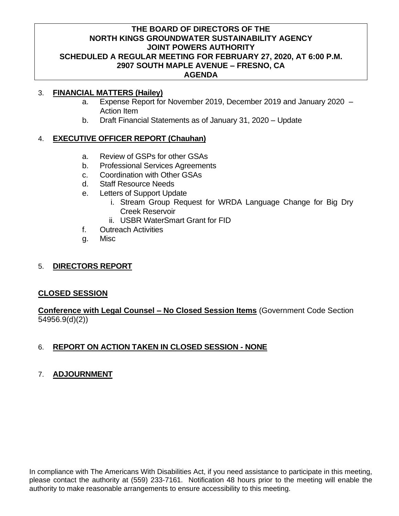## **THE BOARD OF DIRECTORS OF THE NORTH KINGS GROUNDWATER SUSTAINABILITY AGENCY JOINT POWERS AUTHORITY SCHEDULED A REGULAR MEETING FOR FEBRUARY 27, 2020, AT 6:00 P.M. 2907 SOUTH MAPLE AVENUE – FRESNO, CA AGENDA**

## 3. **FINANCIAL MATTERS (Hailey)**

- a. Expense Report for November 2019, December 2019 and January 2020 Action Item
- b. Draft Financial Statements as of January 31, 2020 Update

# 4. **EXECUTIVE OFFICER REPORT (Chauhan)**

- a. Review of GSPs for other GSAs
- b. Professional Services Agreements
- c. Coordination with Other GSAs
- d. Staff Resource Needs
- e. Letters of Support Update
	- i. Stream Group Request for WRDA Language Change for Big Dry Creek Reservoir
	- ii. USBR WaterSmart Grant for FID
- f. Outreach Activities
- g. Misc

# 5. **DIRECTORS REPORT**

## **CLOSED SESSION**

**Conference with Legal Counsel – No Closed Session Items** (Government Code Section 54956.9(d)(2))

# 6. **REPORT ON ACTION TAKEN IN CLOSED SESSION - NONE**

# 7. **ADJOURNMENT**

In compliance with The Americans With Disabilities Act, if you need assistance to participate in this meeting, please contact the authority at (559) 233-7161. Notification 48 hours prior to the meeting will enable the authority to make reasonable arrangements to ensure accessibility to this meeting.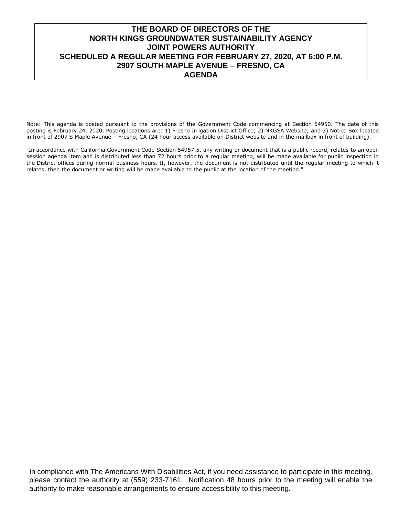## **THE BOARD OF DIRECTORS OF THE NORTH KINGS GROUNDWATER SUSTAINABILITY AGENCY JOINT POWERS AUTHORITY SCHEDULED A REGULAR MEETING FOR FEBRUARY 27, 2020, AT 6:00 P.M. 2907 SOUTH MAPLE AVENUE – FRESNO, CA AGENDA**

Note: This agenda is posted pursuant to the provisions of the Government Code commencing at Section 54950. The date of this posting is February 24, 2020. Posting locations are: 1) Fresno Irrigation District Office; 2) NKGSA Website; and 3) Notice Box located in front of 2907 S Maple Avenue – Fresno, CA (24 hour access available on District website and in the mailbox in front of building).

"In accordance with California Government Code Section 54957.5, any writing or document that is a public record, relates to an open session agenda item and is distributed less than 72 hours prior to a regular meeting, will be made available for public inspection in the District offices during normal business hours. If, however, the document is not distributed until the regular meeting to which it relates, then the document or writing will be made available to the public at the location of the meeting."

In compliance with The Americans With Disabilities Act, if you need assistance to participate in this meeting, please contact the authority at (559) 233-7161. Notification 48 hours prior to the meeting will enable the authority to make reasonable arrangements to ensure accessibility to this meeting.